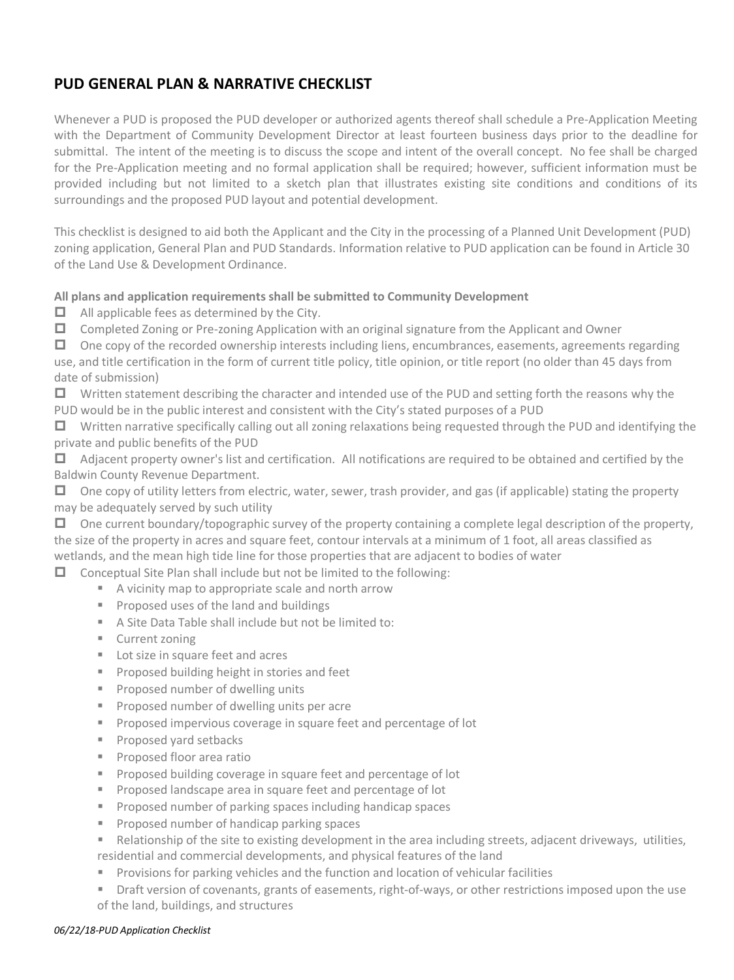## **PUD GENERAL PLAN & NARRATIVE CHECKLIST**

Whenever a PUD is proposed the PUD developer or authorized agents thereof shall schedule a Pre-Application Meeting with the Department of Community Development Director at least fourteen business days prior to the deadline for submittal. The intent of the meeting is to discuss the scope and intent of the overall concept. No fee shall be charged for the Pre-Application meeting and no formal application shall be required; however, sufficient information must be provided including but not limited to a sketch plan that illustrates existing site conditions and conditions of its surroundings and the proposed PUD layout and potential development.

This checklist is designed to aid both the Applicant and the City in the processing of a Planned Unit Development (PUD) zoning application, General Plan and PUD Standards. Information relative to PUD application can be found in Article 30 of the Land Use & Development Ordinance.

## **All plans and application requirements shall be submitted to Community Development**

- $\Box$  All applicable fees as determined by the City.
- $\Box$  Completed Zoning or Pre-zoning Application with an original signature from the Applicant and Owner

 $\Box$  One copy of the recorded ownership interests including liens, encumbrances, easements, agreements regarding use, and title certification in the form of current title policy, title opinion, or title report (no older than 45 days from date of submission)

 $\Box$  Written statement describing the character and intended use of the PUD and setting forth the reasons why the PUD would be in the public interest and consistent with the City's stated purposes of a PUD

 $\Box$  Written narrative specifically calling out all zoning relaxations being requested through the PUD and identifying the private and public benefits of the PUD

 $\Box$  Adjacent property owner's list and certification. All notifications are required to be obtained and certified by the Baldwin County Revenue Department.

 $\Box$  One copy of utility letters from electric, water, sewer, trash provider, and gas (if applicable) stating the property may be adequately served by such utility

 $\Box$  One current boundary/topographic survey of the property containing a complete legal description of the property, the size of the property in acres and square feet, contour intervals at a minimum of 1 foot, all areas classified as wetlands, and the mean high tide line for those properties that are adjacent to bodies of water

 $\Box$  Conceptual Site Plan shall include but not be limited to the following:

- A vicinity map to appropriate scale and north arrow
- **Proposed uses of the land and buildings**
- A Site Data Table shall include but not be limited to:
- Current zoning
- **Lot size in square feet and acres**
- **Proposed building height in stories and feet**
- **Proposed number of dwelling units**
- **Proposed number of dwelling units per acre**
- **Proposed impervious coverage in square feet and percentage of lot**
- **Proposed yard setbacks**
- **Proposed floor area ratio**
- **Proposed building coverage in square feet and percentage of lot**
- **Proposed landscape area in square feet and percentage of lot**
- **Proposed number of parking spaces including handicap spaces**
- **Proposed number of handicap parking spaces**
- Relationship of the site to existing development in the area including streets, adjacent driveways, utilities, residential and commercial developments, and physical features of the land
- **Provisions for parking vehicles and the function and location of vehicular facilities**
- The Draft version of covenants, grants of easements, right-of-ways, or other restrictions imposed upon the use of the land, buildings, and structures